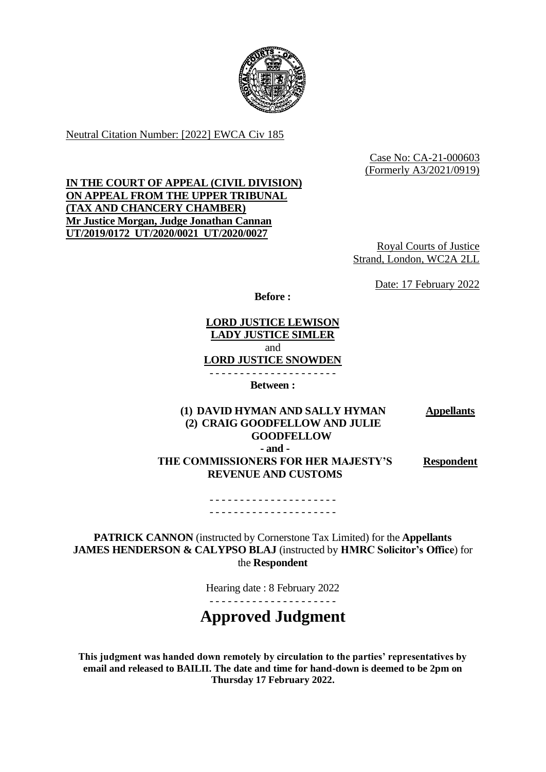

Neutral Citation Number: [2022] EWCA Civ 185

Case No: CA-21-000603 (Formerly A3/2021/0919)

# **IN THE COURT OF APPEAL (CIVIL DIVISION) ON APPEAL FROM THE UPPER TRIBUNAL (TAX AND CHANCERY CHAMBER) Mr Justice Morgan, Judge Jonathan Cannan UT/2019/0172 UT/2020/0021 UT/2020/0027**

Royal Courts of Justice Strand, London, WC2A 2LL

Date: 17 February 2022

**Before :**

**LORD JUSTICE LEWISON LADY JUSTICE SIMLER** and **LORD JUSTICE SNOWDEN** - - - - - - - - - - - - - - - - - - - - -

**Between :**

**(1) DAVID HYMAN AND SALLY HYMAN (2) CRAIG GOODFELLOW AND JULIE GOODFELLOW Appellants - and - THE COMMISSIONERS FOR HER MAJESTY'S REVENUE AND CUSTOMS Respondent**

> - - - - - - - - - - - - - - - - - - - - - - - - - - - - - - - - - - - - - - - - - -

**PATRICK CANNON** (instructed by Cornerstone Tax Limited) for the **Appellants JAMES HENDERSON & CALYPSO BLAJ** (instructed by **HMRC Solicitor's Office**) for the **Respondent**

Hearing date : 8 February 2022

- - - - - - - - - - - - - - - - - - - - -

**Approved Judgment**

**This judgment was handed down remotely by circulation to the parties' representatives by email and released to BAILII. The date and time for hand-down is deemed to be 2pm on Thursday 17 February 2022.**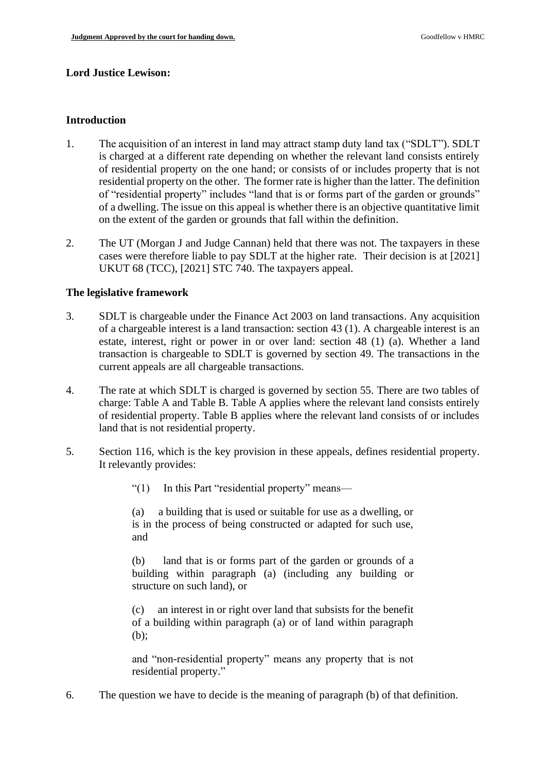## **Lord Justice Lewison:**

## **Introduction**

- 1. The acquisition of an interest in land may attract stamp duty land tax ("SDLT"). SDLT is charged at a different rate depending on whether the relevant land consists entirely of residential property on the one hand; or consists of or includes property that is not residential property on the other. The former rate is higher than the latter. The definition of "residential property" includes "land that is or forms part of the garden or grounds" of a dwelling. The issue on this appeal is whether there is an objective quantitative limit on the extent of the garden or grounds that fall within the definition.
- 2. The UT (Morgan J and Judge Cannan) held that there was not. The taxpayers in these cases were therefore liable to pay SDLT at the higher rate. Their decision is at [2021] UKUT 68 (TCC), [2021] STC 740. The taxpayers appeal.

## **The legislative framework**

- 3. SDLT is chargeable under the Finance Act 2003 on land transactions. Any acquisition of a chargeable interest is a land transaction: section 43 (1). A chargeable interest is an estate, interest, right or power in or over land: section 48 (1) (a). Whether a land transaction is chargeable to SDLT is governed by section 49. The transactions in the current appeals are all chargeable transactions.
- 4. The rate at which SDLT is charged is governed by section 55. There are two tables of charge: Table A and Table B. Table A applies where the relevant land consists entirely of residential property. Table B applies where the relevant land consists of or includes land that is not residential property.
- 5. Section 116, which is the key provision in these appeals, defines residential property. It relevantly provides:
	- "(1) In this Part "residential property" means—

(a) a building that is used or suitable for use as a dwelling, or is in the process of being constructed or adapted for such use, and

(b) land that is or forms part of the garden or grounds of a building within paragraph (a) (including any building or structure on such land), or

(c) an interest in or right over land that subsists for the benefit of a building within paragraph (a) or of land within paragraph (b);

and "non-residential property" means any property that is not residential property."

6. The question we have to decide is the meaning of paragraph (b) of that definition.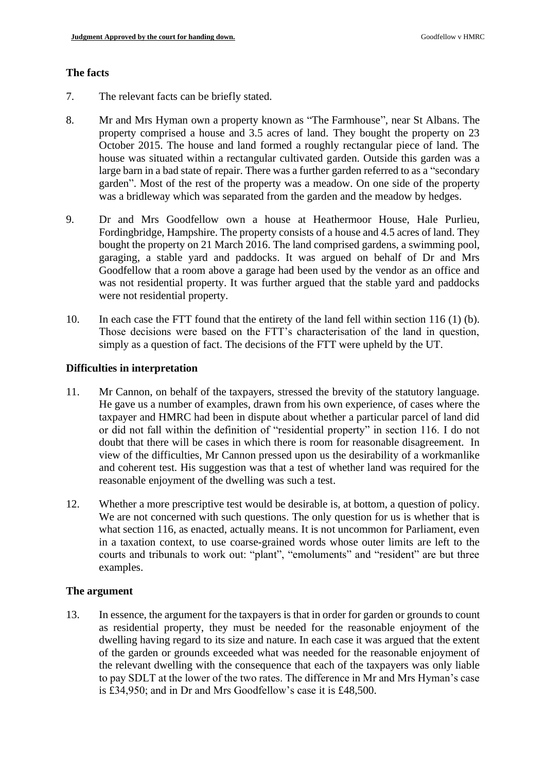#### **The facts**

- 7. The relevant facts can be briefly stated.
- 8. Mr and Mrs Hyman own a property known as "The Farmhouse", near St Albans. The property comprised a house and 3.5 acres of land. They bought the property on 23 October 2015. The house and land formed a roughly rectangular piece of land. The house was situated within a rectangular cultivated garden. Outside this garden was a large barn in a bad state of repair. There was a further garden referred to as a "secondary garden". Most of the rest of the property was a meadow. On one side of the property was a bridleway which was separated from the garden and the meadow by hedges.
- 9. Dr and Mrs Goodfellow own a house at Heathermoor House, Hale Purlieu, Fordingbridge, Hampshire. The property consists of a house and 4.5 acres of land. They bought the property on 21 March 2016. The land comprised gardens, a swimming pool, garaging, a stable yard and paddocks. It was argued on behalf of Dr and Mrs Goodfellow that a room above a garage had been used by the vendor as an office and was not residential property. It was further argued that the stable yard and paddocks were not residential property.
- 10. In each case the FTT found that the entirety of the land fell within section 116 (1) (b). Those decisions were based on the FTT's characterisation of the land in question, simply as a question of fact. The decisions of the FTT were upheld by the UT.

#### **Difficulties in interpretation**

- 11. Mr Cannon, on behalf of the taxpayers, stressed the brevity of the statutory language. He gave us a number of examples, drawn from his own experience, of cases where the taxpayer and HMRC had been in dispute about whether a particular parcel of land did or did not fall within the definition of "residential property" in section 116. I do not doubt that there will be cases in which there is room for reasonable disagreement. In view of the difficulties, Mr Cannon pressed upon us the desirability of a workmanlike and coherent test. His suggestion was that a test of whether land was required for the reasonable enjoyment of the dwelling was such a test.
- 12. Whether a more prescriptive test would be desirable is, at bottom, a question of policy. We are not concerned with such questions. The only question for us is whether that is what section 116, as enacted, actually means. It is not uncommon for Parliament, even in a taxation context, to use coarse-grained words whose outer limits are left to the courts and tribunals to work out: "plant", "emoluments" and "resident" are but three examples.

## **The argument**

13. In essence, the argument for the taxpayers is that in order for garden or grounds to count as residential property, they must be needed for the reasonable enjoyment of the dwelling having regard to its size and nature. In each case it was argued that the extent of the garden or grounds exceeded what was needed for the reasonable enjoyment of the relevant dwelling with the consequence that each of the taxpayers was only liable to pay SDLT at the lower of the two rates. The difference in Mr and Mrs Hyman's case is £34,950; and in Dr and Mrs Goodfellow's case it is £48,500.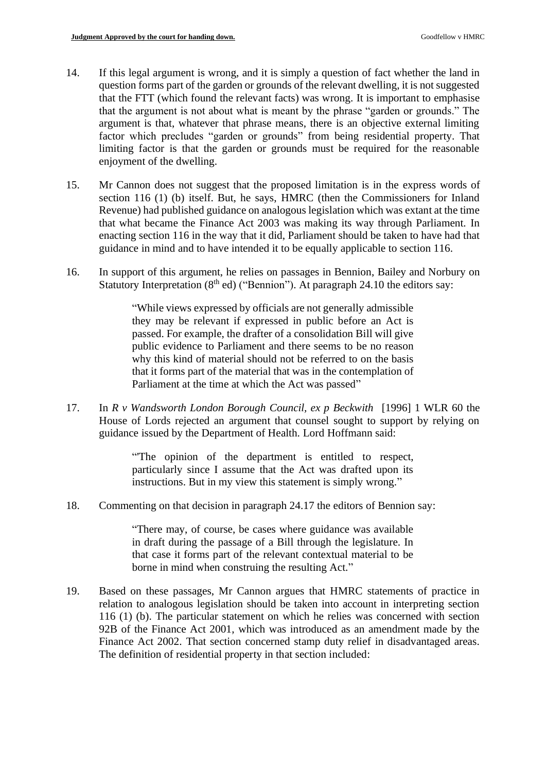- 14. If this legal argument is wrong, and it is simply a question of fact whether the land in question forms part of the garden or grounds of the relevant dwelling, it is not suggested that the FTT (which found the relevant facts) was wrong. It is important to emphasise that the argument is not about what is meant by the phrase "garden or grounds." The argument is that, whatever that phrase means, there is an objective external limiting factor which precludes "garden or grounds" from being residential property. That limiting factor is that the garden or grounds must be required for the reasonable enjoyment of the dwelling.
- 15. Mr Cannon does not suggest that the proposed limitation is in the express words of section 116 (1) (b) itself. But, he says, HMRC (then the Commissioners for Inland Revenue) had published guidance on analogous legislation which was extant at the time that what became the Finance Act 2003 was making its way through Parliament. In enacting section 116 in the way that it did, Parliament should be taken to have had that guidance in mind and to have intended it to be equally applicable to section 116.
- 16. In support of this argument, he relies on passages in Bennion, Bailey and Norbury on Statutory Interpretation  $(8<sup>th</sup> ed)$  ("Bennion"). At paragraph 24.10 the editors say:

"While views expressed by officials are not generally admissible they may be relevant if expressed in public before an Act is passed. For example, the drafter of a consolidation Bill will give public evidence to Parliament and there seems to be no reason why this kind of material should not be referred to on the basis that it forms part of the material that was in the contemplation of Parliament at the time at which the Act was passed"

17. In *R v Wandsworth London Borough Council, ex p Beckwit[h](https://www.lexisnexis.com/uk/legal/#ref8_626F73695F62696E6465725F30315F30375F303032345F3231_ID0ELCAE)* [1996] 1 WLR 60 the House of Lords rejected an argument that counsel sought to support by relying on guidance issued by the Department of Health. Lord Hoffmann said:

> "'The opinion of the department is entitled to respect, particularly since I assume that the Act was drafted upon its instructions. But in my view this statement is simply wrong."

18. Commenting on that decision in paragraph 24.17 the editors of Bennion say:

"There may, of course, be cases where guidance was available in draft during the passage of a Bill through the legislature. In that case it forms part of the relevant contextual material to be borne in mind when construing the resulting Act."

19. Based on these passages, Mr Cannon argues that HMRC statements of practice in relation to analogous legislation should be taken into account in interpreting section 116 (1) (b). The particular statement on which he relies was concerned with section 92B of the Finance Act 2001, which was introduced as an amendment made by the Finance Act 2002. That section concerned stamp duty relief in disadvantaged areas. The definition of residential property in that section included: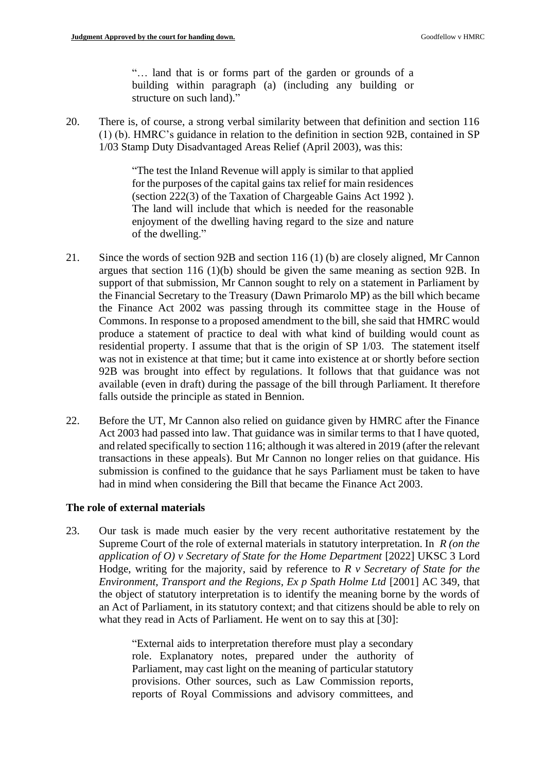"… land that is or forms part of the garden or grounds of a building within paragraph (a) (including any building or structure on such land)."

20. There is, of course, a strong verbal similarity between that definition and section 116 (1) (b). HMRC's guidance in relation to the definition in section 92B, contained in SP 1/03 Stamp Duty Disadvantaged Areas Relief (April 2003), was this:

> "The test the Inland Revenue will apply is similar to that applied for the purposes of the capital gains tax relief for main residences (section 222(3) of the Taxation of Chargeable Gains Act 1992 ). The land will include that which is needed for the reasonable enjoyment of the dwelling having regard to the size and nature of the dwelling."

- 21. Since the words of section 92B and section 116 (1) (b) are closely aligned, Mr Cannon argues that section 116 (1)(b) should be given the same meaning as section 92B. In support of that submission, Mr Cannon sought to rely on a statement in Parliament by the Financial Secretary to the Treasury (Dawn Primarolo MP) as the bill which became the Finance Act 2002 was passing through its committee stage in the House of Commons. In response to a proposed amendment to the bill, she said that HMRC would produce a statement of practice to deal with what kind of building would count as residential property. I assume that that is the origin of SP 1/03. The statement itself was not in existence at that time; but it came into existence at or shortly before section 92B was brought into effect by regulations. It follows that that guidance was not available (even in draft) during the passage of the bill through Parliament. It therefore falls outside the principle as stated in Bennion.
- 22. Before the UT, Mr Cannon also relied on guidance given by HMRC after the Finance Act 2003 had passed into law. That guidance was in similar terms to that I have quoted, and related specifically to section 116; although it was altered in 2019 (after the relevant transactions in these appeals). But Mr Cannon no longer relies on that guidance. His submission is confined to the guidance that he says Parliament must be taken to have had in mind when considering the Bill that became the Finance Act 2003.

## **The role of external materials**

23. Our task is made much easier by the very recent authoritative restatement by the Supreme Court of the role of external materials in statutory interpretation. In *R (on the application of O) v Secretary of State for the Home Department* [2022] UKSC 3 Lord Hodge, writing for the majority, said by reference to *R v Secretary of State for the Environment, Transport and the Regions, Ex p Spath Holme Ltd* [2001] AC 349, that the object of statutory interpretation is to identify the meaning borne by the words of an Act of Parliament, in its statutory context; and that citizens should be able to rely on what they read in Acts of Parliament. He went on to say this at [30]:

> "External aids to interpretation therefore must play a secondary role. Explanatory notes, prepared under the authority of Parliament, may cast light on the meaning of particular statutory provisions. Other sources, such as Law Commission reports, reports of Royal Commissions and advisory committees, and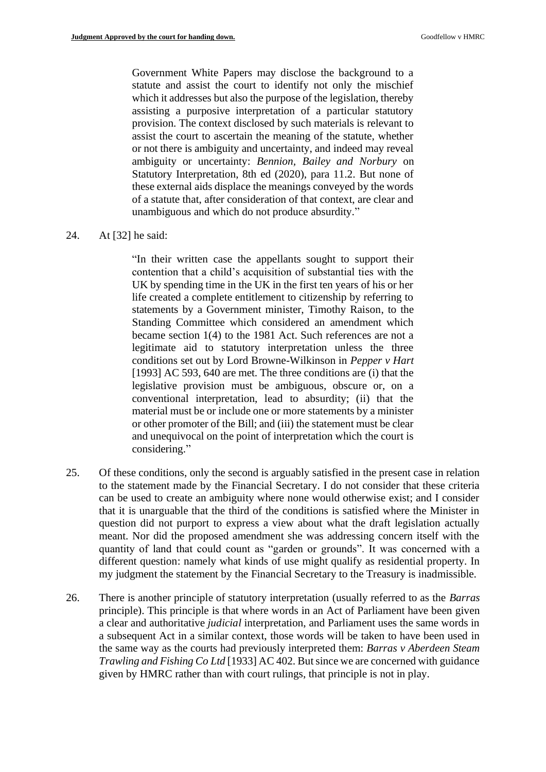Government White Papers may disclose the background to a statute and assist the court to identify not only the mischief which it addresses but also the purpose of the legislation, thereby assisting a purposive interpretation of a particular statutory provision. The context disclosed by such materials is relevant to assist the court to ascertain the meaning of the statute, whether or not there is ambiguity and uncertainty, and indeed may reveal ambiguity or uncertainty: *Bennion, Bailey and Norbury* on Statutory Interpretation, 8th ed (2020), para 11.2. But none of these external aids displace the meanings conveyed by the words of a statute that, after consideration of that context, are clear and unambiguous and which do not produce absurdity."

#### 24. At [32] he said:

"In their written case the appellants sought to support their contention that a child's acquisition of substantial ties with the UK by spending time in the UK in the first ten years of his or her life created a complete entitlement to citizenship by referring to statements by a Government minister, Timothy Raison, to the Standing Committee which considered an amendment which became section 1(4) to the 1981 Act. Such references are not a legitimate aid to statutory interpretation unless the three conditions set out by Lord Browne-Wilkinson in *Pepper v Hart* [1993] AC 593, 640 are met. The three conditions are (i) that the legislative provision must be ambiguous, obscure or, on a conventional interpretation, lead to absurdity; (ii) that the material must be or include one or more statements by a minister or other promoter of the Bill; and (iii) the statement must be clear and unequivocal on the point of interpretation which the court is considering."

- 25. Of these conditions, only the second is arguably satisfied in the present case in relation to the statement made by the Financial Secretary. I do not consider that these criteria can be used to create an ambiguity where none would otherwise exist; and I consider that it is unarguable that the third of the conditions is satisfied where the Minister in question did not purport to express a view about what the draft legislation actually meant. Nor did the proposed amendment she was addressing concern itself with the quantity of land that could count as "garden or grounds". It was concerned with a different question: namely what kinds of use might qualify as residential property. In my judgment the statement by the Financial Secretary to the Treasury is inadmissible.
- 26. There is another principle of statutory interpretation (usually referred to as the *Barras* principle). This principle is that where words in an Act of Parliament have been given a clear and authoritative *judicial* interpretation, and Parliament uses the same words in a subsequent Act in a similar context, those words will be taken to have been used in the same way as the courts had previously interpreted them: *Barras v Aberdeen Steam Trawling and Fishing Co Ltd* [1933] AC 402. But since we are concerned with guidance given by HMRC rather than with court rulings, that principle is not in play.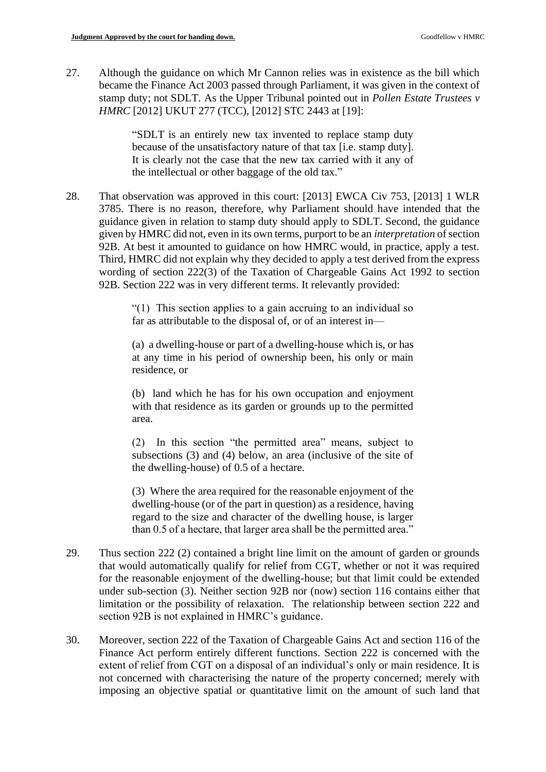27. Although the guidance on which Mr Cannon relies was in existence as the bill which became the Finance Act 2003 passed through Parliament, it was given in the context of stamp duty; not SDLT. As the Upper Tribunal pointed out in *Pollen Estate Trustees v HMRC* [2012] UKUT 277 (TCC), [2012] STC 2443 at [19]:

> "SDLT is an entirely new tax invented to replace stamp duty because of the unsatisfactory nature of that tax [i.e. stamp duty]. It is clearly not the case that the new tax carried with it any of the intellectual or other baggage of the old tax."

28. That observation was approved in this court: [2013] EWCA Civ 753, [2013] 1 WLR 3785. There is no reason, therefore, why Parliament should have intended that the guidance given in relation to stamp duty should apply to SDLT. Second, the guidance given by HMRC did not, even in its own terms, purport to be an *interpretation* of section 92B. At best it amounted to guidance on how HMRC would, in practice, apply a test. Third, HMRC did not explain why they decided to apply a test derived from the express wording of section 222(3) of the Taxation of Chargeable Gains Act 1992 to section 92B. Section 222 was in very different terms. It relevantly provided:

> "(1) This section applies to a gain accruing to an individual so far as attributable to the disposal of, or of an interest in—

> (a) a dwelling-house or part of a dwelling-house which is, or has at any time in his period of ownership been, his only or main residence, or

> (b) land which he has for his own occupation and enjoyment with that residence as its garden or grounds up to the permitted area.

> (2) In this section "the permitted area" means, subject to subsections (3) and (4) below, an area (inclusive of the site of the dwelling-house) of 0.5 of a hectare.

> (3) Where the area required for the reasonable enjoyment of the dwelling-house (or of the part in question) as a residence, having regard to the size and character of the dwelling house, is larger than 0.5 of a hectare, that larger area shall be the permitted area."

- 29. Thus section 222 (2) contained a bright line limit on the amount of garden or grounds that would automatically qualify for relief from CGT, whether or not it was required for the reasonable enjoyment of the dwelling-house; but that limit could be extended under sub-section (3). Neither section 92B nor (now) section 116 contains either that limitation or the possibility of relaxation. The relationship between section 222 and section 92B is not explained in HMRC's guidance.
- 30. Moreover, section 222 of the Taxation of Chargeable Gains Act and section 116 of the Finance Act perform entirely different functions. Section 222 is concerned with the extent of relief from CGT on a disposal of an individual's only or main residence. It is not concerned with characterising the nature of the property concerned; merely with imposing an objective spatial or quantitative limit on the amount of such land that